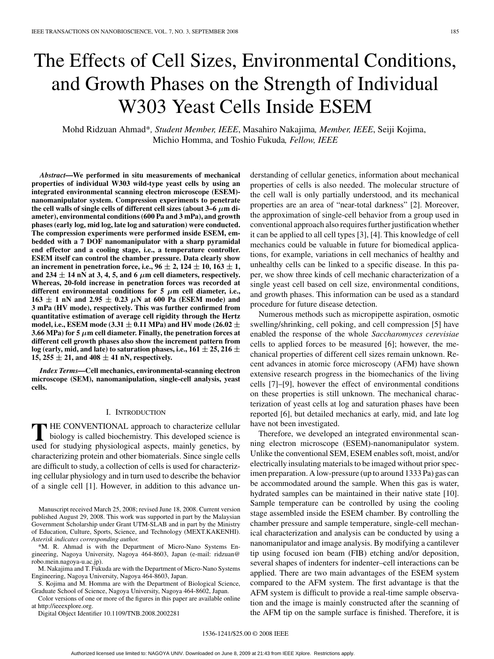# The Effects of Cell Sizes, Environmental Conditions, and Growth Phases on the Strength of Individual W303 Yeast Cells Inside ESEM

Mohd Ridzuan Ahmad\**, Student Member, IEEE*, Masahiro Nakajima*, Member, IEEE*, Seiji Kojima, Michio Homma, and Toshio Fukuda*, Fellow, IEEE*

*Abstract***—We performed in situ measurements of mechanical properties of individual W303 wild-type yeast cells by using an integrated environmental scanning electron microscope (ESEM) nanomanipulator system. Compression experiments to penetrate** the cell walls of single cells of different cell sizes (about  $3-6 \mu m$  di**ameter), environmental conditions (600 Pa and 3 mPa), and growth phases (early log, mid log, late log and saturation) were conducted. The compression experiments were performed inside ESEM, embedded with a 7 DOF nanomanipulator with a sharp pyramidal end effector and a cooling stage, i.e., a temperature controller. ESEM itself can control the chamber pressure. Data clearly show an increment in penetration force, i.e.,**  $96 \pm 2$ **,**  $124 \pm 10$ **,**  $163 \pm 1$ **,** and  $234 \pm 14$  nN at 3, 4, 5, and 6  $\mu$ m cell diameters, respectively. **Whereas, 20-fold increase in penetration forces was recorded at** different environmental conditions for  $5 \mu$ m cell diameter, i.e.,  $163 \pm 1$  nN and  $2.95 \pm 0.23$   $\mu$ N at 600 Pa (ESEM mode) and **3 mPa (HV mode), respectively. This was further confirmed from quantitative estimation of average cell rigidity through the Hertz model, i.e., ESEM mode (3.31** *±* **0.11 MPa) and HV mode (26.02** *±* **3.66 MPa) for 5** *µ***m cell diameter. Finally, the penetration forces at different cell growth phases also show the increment pattern from log (early, mid, and late) to saturation phases, i.e., 161** *±* **25, 216** *±* **15, 255**  $\pm$  **21, and 408**  $\pm$  **41 nN, respectively.** 

*Index Terms***—Cell mechanics, environmental-scanning electron microscope (SEM), nanomanipulation, single-cell analysis, yeast cells.**

#### I. INTRODUCTION

**T** HE CONVENTIONAL approach to characterize cellular biology is called biochemistry. This developed science is used for studying physiological aspects, mainly genetics, by characterizing protein and other biomaterials. Since single cells are difficult to study, a collection of cells is used for characterizing cellular physiology and in turn used to describe the behavior of a single cell [1]. However, in addition to this advance un-

Manuscript received March 25, 2008; revised June 18, 2008. Current version published August 29, 2008. This work was supported in part by the Malaysian Government Scholarship under Grant UTM-SLAB and in part by the Ministry of Education, Culture, Sports, Science, and Technology (MEXT.KAKENHI). *Asterisk indicates corresponding author.*

\*M. R. Ahmad is with the Department of Micro-Nano Systems Engineering, Nagoya University, Nagoya 464-8603, Japan (e-mail: ridzuan@ robo.mein.nagoya-u.ac.jp).

M. Nakajima and T. Fukuda are with the Department of Micro-Nano Systems Engineering, Nagoya University, Nagoya 464-8603, Japan.

S. Kojima and M. Homma are with the Department of Biological Science, Graduate School of Science, Nagoya University, Nagoya 464-8602, Japan.

Color versions of one or more of the figures in this paper are available online at http://ieeexplore.org.

Digital Object Identifier 10.1109/TNB.2008.2002281

derstanding of cellular genetics, information about mechanical properties of cells is also needed. The molecular structure of the cell wall is only partially understood, and its mechanical properties are an area of "near-total darkness" [2]. Moreover, the approximation of single-cell behavior from a group used in conventional approach also requires further justification whether it can be applied to all cell types [3], [4]. This knowledge of cell mechanics could be valuable in future for biomedical applications, for example, variations in cell mechanics of healthy and unhealthy cells can be linked to a specific disease. In this paper, we show three kinds of cell mechanic characterization of a single yeast cell based on cell size, environmental conditions, and growth phases. This information can be used as a standard procedure for future disease detection.

Numerous methods such as micropipette aspiration, osmotic swelling/shrinking, cell poking, and cell compression [5] have enabled the response of the whole *Saccharomyces cerevisiae* cells to applied forces to be measured [6]; however, the mechanical properties of different cell sizes remain unknown. Recent advances in atomic force microscopy (AFM) have shown extensive research progress in the biomechanics of the living cells [7]–[9], however the effect of environmental conditions on these properties is still unknown. The mechanical characterization of yeast cells at log and saturation phases have been reported [6], but detailed mechanics at early, mid, and late log have not been investigated.

Therefore, we developed an integrated environmental scanning electron microscope (ESEM)-nanomanipulator system. Unlike the conventional SEM, ESEM enables soft, moist, and/or electrically insulating materials to be imaged without prior specimen preparation. A low-pressure (up to around 1333 Pa) gas can be accommodated around the sample. When this gas is water, hydrated samples can be maintained in their native state [10]. Sample temperature can be controlled by using the cooling stage assembled inside the ESEM chamber. By controlling the chamber pressure and sample temperature, single-cell mechanical characterization and analysis can be conducted by using a nanomanipulator and image analysis. By modifying a cantilever tip using focused ion beam (FIB) etching and/or deposition, several shapes of indenters for indenter-cell interactions can be applied. There are two main advantages of the ESEM system compared to the AFM system. The first advantage is that the AFM system is difficult to provide a real-time sample observation and the image is mainly constructed after the scanning of the AFM tip on the sample surface is finished. Therefore, it is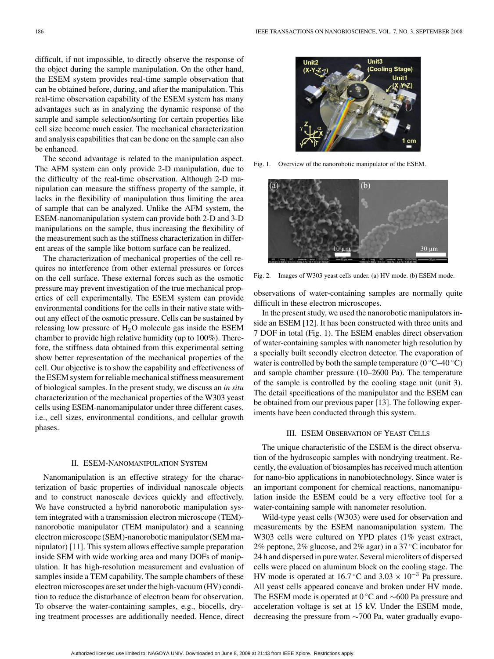difficult, if not impossible, to directly observe the response of the object during the sample manipulation. On the other hand, the ESEM system provides real-time sample observation that can be obtained before, during, and after the manipulation. This real-time observation capability of the ESEM system has many advantages such as in analyzing the dynamic response of the sample and sample selection/sorting for certain properties like cell size become much easier. The mechanical characterization and analysis capabilities that can be done on the sample can also be enhanced.

The second advantage is related to the manipulation aspect. The AFM system can only provide 2-D manipulation, due to the difficulty of the real-time observation. Although 2-D manipulation can measure the stiffness property of the sample, it lacks in the flexibility of manipulation thus limiting the area of sample that can be analyzed. Unlike the AFM system, the ESEM-nanomanipulation system can provide both 2-D and 3-D manipulations on the sample, thus increasing the flexibility of the measurement such as the stiffness characterization in different areas of the sample like bottom surface can be realized.

The characterization of mechanical properties of the cell requires no interference from other external pressures or forces on the cell surface. These external forces such as the osmotic pressure may prevent investigation of the true mechanical properties of cell experimentally. The ESEM system can provide environmental conditions for the cells in their native state without any effect of the osmotic pressure. Cells can be sustained by releasing low pressure of  $H<sub>2</sub>O$  molecule gas inside the ESEM chamber to provide high relative humidity (up to 100%). Therefore, the stiffness data obtained from this experimental setting show better representation of the mechanical properties of the cell. Our objective is to show the capability and effectiveness of the ESEM system for reliable mechanical stiffness measurement of biological samples. In the present study, we discuss an *in situ* characterization of the mechanical properties of the W303 yeast cells using ESEM-nanomanipulator under three different cases, i.e., cell sizes, environmental conditions, and cellular growth phases.

#### II. ESEM-NANOMANIPULATION SYSTEM

Nanomanipulation is an effective strategy for the characterization of basic properties of individual nanoscale objects and to construct nanoscale devices quickly and effectively. We have constructed a hybrid nanorobotic manipulation system integrated with a transmission electron microscope (TEM) nanorobotic manipulator (TEM manipulator) and a scanning electron microscope (SEM)-nanorobotic manipulator (SEM manipulator) [11]. This system allows effective sample preparation inside SEM with wide working area and many DOFs of manipulation. It has high-resolution measurement and evaluation of samples inside a TEM capability. The sample chambers of these electron microscopes are set under the high-vacuum (HV) condition to reduce the disturbance of electron beam for observation. To observe the water-containing samples, e.g., biocells, drying treatment processes are additionally needed. Hence, direct



Fig. 1. Overview of the nanorobotic manipulator of the ESEM.



Fig. 2. Images of W303 yeast cells under. (a) HV mode. (b) ESEM mode.

observations of water-containing samples are normally quite difficult in these electron microscopes.

In the present study, we used the nanorobotic manipulators inside an ESEM [12]. It has been constructed with three units and 7 DOF in total (Fig. 1). The ESEM enables direct observation of water-containing samples with nanometer high resolution by a specially built secondly electron detector. The evaporation of water is controlled by both the sample temperature ( $0^{\circ}$ C–40 $^{\circ}$ C) and sample chamber pressure (10–2600 Pa). The temperature of the sample is controlled by the cooling stage unit (unit 3). The detail specifications of the manipulator and the ESEM can be obtained from our previous paper [13]. The following experiments have been conducted through this system.

# III. ESEM OBSERVATION OF YEAST CELLS

The unique characteristic of the ESEM is the direct observation of the hydroscopic samples with nondrying treatment. Recently, the evaluation of biosamples has received much attention for nano-bio applications in nanobiotechnology. Since water is an important component for chemical reactions, nanomanipulation inside the ESEM could be a very effective tool for a water-containing sample with nanometer resolution.

Wild-type yeast cells (W303) were used for observation and measurements by the ESEM nanomanipulation system. The W303 cells were cultured on YPD plates (1% yeast extract, 2% peptone, 2% glucose, and 2% agar) in a 37 ◦C incubator for 24 h and dispersed in pure water. Several microliters of dispersed cells were placed on aluminum block on the cooling stage. The HV mode is operated at 16.7 °C and 3.03  $\times$  10<sup>-3</sup> Pa pressure. All yeast cells appeared concave and broken under HV mode. The ESEM mode is operated at 0 °C and ~600 Pa pressure and acceleration voltage is set at 15 kV. Under the ESEM mode, decreasing the pressure from ∼700 Pa, water gradually evapo-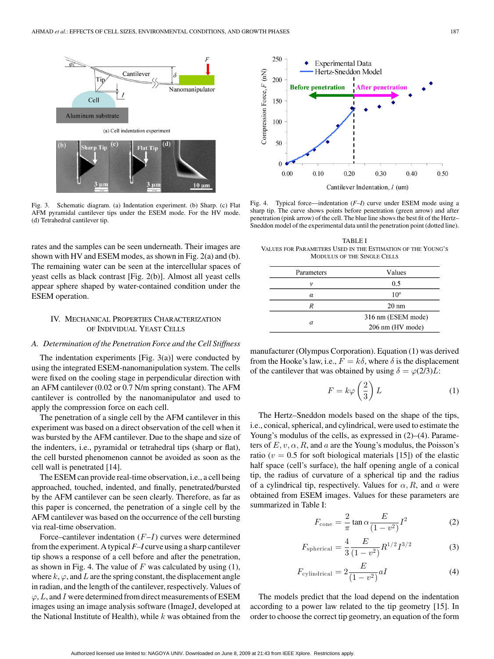

Fig. 3. Schematic diagram. (a) Indentation experiment. (b) Sharp. (c) Flat AFM pyramidal cantilever tips under the ESEM mode. For the HV mode. (d) Tetrahedral cantilever tip.

rates and the samples can be seen underneath. Their images are shown with HV and ESEM modes, as shown in Fig. 2(a) and (b). The remaining water can be seen at the intercellular spaces of yeast cells as black contrast [Fig. 2(b)]. Almost all yeast cells appear sphere shaped by water-contained condition under the ESEM operation.

# IV. MECHANICAL PROPERTIES CHARACTERIZATION OF INDIVIDUAL YEAST CELLS

#### *A. Determination of the Penetration Force and the Cell Stiffness*

The indentation experiments [Fig. 3(a)] were conducted by using the integrated ESEM-nanomanipulation system. The cells were fixed on the cooling stage in perpendicular direction with an AFM cantilever (0.02 or 0.7 N/m spring constant). The AFM cantilever is controlled by the nanomanipulator and used to apply the compression force on each cell.

The penetration of a single cell by the AFM cantilever in this experiment was based on a direct observation of the cell when it was bursted by the AFM cantilever. Due to the shape and size of the indenters, i.e., pyramidal or tetrahedral tips (sharp or flat), the cell bursted phenomenon cannot be avoided as soon as the cell wall is penetrated [14].

The ESEM can provide real-time observation, i.e., a cell being approached, touched, indented, and finally, penetrated/bursted by the AFM cantilever can be seen clearly. Therefore, as far as this paper is concerned, the penetration of a single cell by the AFM cantilever was based on the occurrence of the cell bursting via real-time observation.

Force–cantilever indentation  $(F-I)$  curves were determined from the experiment. A typical *F–I* curve using a sharp cantilever tip shows a response of a cell before and after the penetration, as shown in Fig. 4. The value of  $F$  was calculated by using (1), where  $k, \varphi$ , and L are the spring constant, the displacement angle in radian, and the length of the cantilever, respectively. Values of  $\varphi, L$ , and I were determined from direct measurements of ESEM images using an image analysis software (ImageJ, developed at the National Institute of Health), while  $k$  was obtained from the



Fig. 4. Typical force—indentation (*F–I*) curve under ESEM mode using a sharp tip. The curve shows points before penetration (green arrow) and after penetration (pink arrow) of the cell. The blue line shows the best fit of the Hertz– Sneddon model of the experimental data until the penetration point (dotted line).

TABLE I VALUES FOR PARAMETERS USED IN THE ESTIMATION OF THE YOUNG'S MODULUS OF THE SINGLE CELLS

| Parameters | Values             |
|------------|--------------------|
| ν          | 0.5                |
| α          | $10^{\circ}$       |
| R          | $20 \text{ nm}$    |
| a          | 316 nm (ESEM mode) |
|            | 206 nm (HV mode)   |

manufacturer (Olympus Corporation). Equation (1) was derived from the Hooke's law, i.e.,  $F = k\delta$ , where  $\delta$  is the displacement of the cantilever that was obtained by using  $\delta = \varphi(2/3)L$ :

$$
F = k\varphi \left(\frac{2}{3}\right)L\tag{1}
$$

The Hertz–Sneddon models based on the shape of the tips, i.e., conical, spherical, and cylindrical, were used to estimate the Young's modulus of the cells, as expressed in (2)–(4). Parameters of  $E, v, \alpha, R$ , and a are the Young's modulus, the Poisson's ratio ( $v = 0.5$  for soft biological materials [15]) of the elastic half space (cell's surface), the half opening angle of a conical tip, the radius of curvature of a spherical tip and the radius of a cylindrical tip, respectively. Values for  $\alpha$ , R, and a were obtained from ESEM images. Values for these parameters are summarized in Table I:

$$
F_{\text{cone}} = \frac{2}{\pi} \tan \alpha \frac{E}{(1 - v^2)} I^2 \tag{2}
$$

$$
F_{\text{spherical}} = \frac{4}{3} \frac{E}{(1 - v^2)} R^{1/2} I^{3/2} \tag{3}
$$

$$
F_{\text{cylindrical}} = 2 \frac{E}{(1 - v^2)} aI \tag{4}
$$

The models predict that the load depend on the indentation according to a power law related to the tip geometry [15]. In order to choose the correct tip geometry, an equation of the form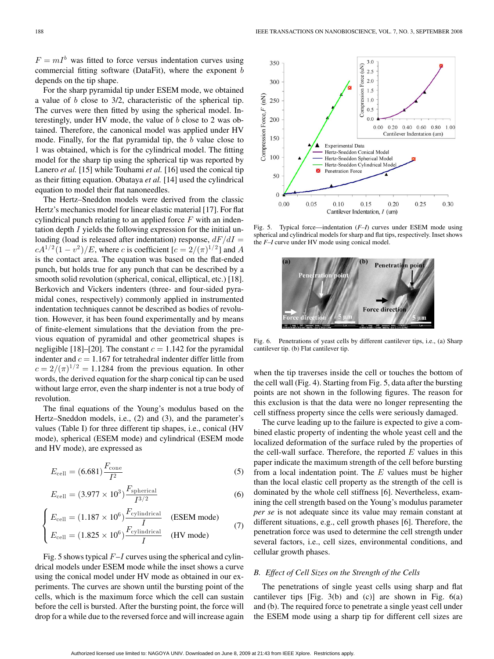$F = mI<sup>b</sup>$  was fitted to force versus indentation curves using commercial fitting software (DataFit), where the exponent  $b$ depends on the tip shape.

For the sharp pyramidal tip under ESEM mode, we obtained a value of b close to 3/2, characteristic of the spherical tip. The curves were then fitted by using the spherical model. Interestingly, under HV mode, the value of b close to 2 was obtained. Therefore, the canonical model was applied under HV mode. Finally, for the flat pyramidal tip, the b value close to 1 was obtained, which is for the cylindrical model. The fitting model for the sharp tip using the spherical tip was reported by Lanero *et al.* [15] while Touhami *et al.* [16] used the conical tip as their fitting equation. Obataya *et al.* [14] used the cylindrical equation to model their flat nanoneedles.

The Hertz–Sneddon models were derived from the classic Hertz's mechanics model for linear elastic material [17]. For flat cylindrical punch relating to an applied force  $F$  with an indentation depth I yields the following expression for the initial unloading (load is released after indentation) response,  $dF/dI =$  $cA^{1/2}(1-v^2)/E$ , where c is coefficient  $[c=2/(\pi)^{1/2}]$  and A is the contact area. The equation was based on the flat-ended punch, but holds true for any punch that can be described by a smooth solid revolution (spherical, conical, elliptical, etc.) [18]. Berkovich and Vickers indenters (three- and four-sided pyramidal cones, respectively) commonly applied in instrumented indentation techniques cannot be described as bodies of revolution. However, it has been found experimentally and by means of finite-element simulations that the deviation from the previous equation of pyramidal and other geometrical shapes is negligible [18]–[20]. The constant  $c = 1.142$  for the pyramidal indenter and  $c = 1.167$  for tetrahedral indenter differ little from  $c = 2/(\pi)^{1/2} = 1.1284$  from the previous equation. In other words, the derived equation for the sharp conical tip can be used without large error, even the sharp indenter is not a true body of revolution.

The final equations of the Young's modulus based on the Hertz–Sneddon models, i.e., (2) and (3), and the parameter's values (Table I) for three different tip shapes, i.e., conical (HV mode), spherical (ESEM mode) and cylindrical (ESEM mode and HV mode), are expressed as

$$
E_{\text{cell}} = (6.681) \frac{F_{\text{cone}}}{I^2} \tag{5}
$$

$$
E_{\text{cell}} = (3.977 \times 10^3) \frac{F_{\text{spherical}}}{I^{3/2}}
$$
 (6)

$$
\begin{cases}\nE_{\text{cell}} = (1.187 \times 10^6) \frac{F_{\text{cylindrical}}}{I} & \text{(ESEM mode)} \\
E_{\text{cell}} = (1.825 \times 10^6) \frac{F_{\text{cylindrical}}}{I} & \text{(HV mode)}\n\end{cases}
$$
\n(7)

Fig. 5 shows typical  $F-I$  curves using the spherical and cylindrical models under ESEM mode while the inset shows a curve using the conical model under HV mode as obtained in our experiments. The curves are shown until the bursting point of the cells, which is the maximum force which the cell can sustain before the cell is bursted. After the bursting point, the force will drop for a while due to the reversed force and will increase again



Fig. 5. Typical force—indentation (*F–I*) curves under ESEM mode using spherical and cylindrical models for sharp and flat tips, respectively. Inset shows the *F–I* curve under HV mode using conical model.



Fig. 6. Penetrations of yeast cells by different cantilever tips, i.e., (a) Sharp cantilever tip. (b) Flat cantilever tip.

when the tip traverses inside the cell or touches the bottom of the cell wall (Fig. 4). Starting from Fig. 5, data after the bursting points are not shown in the following figures. The reason for this exclusion is that the data were no longer representing the cell stiffness property since the cells were seriously damaged.

The curve leading up to the failure is expected to give a combined elastic property of indenting the whole yeast cell and the localized deformation of the surface ruled by the properties of the cell-wall surface. Therefore, the reported  $E$  values in this paper indicate the maximum strength of the cell before bursting from a local indentation point. The  $E$  values must be higher than the local elastic cell property as the strength of the cell is dominated by the whole cell stiffness [6]. Nevertheless, examining the cell strength based on the Young's modulus parameter *per se* is not adequate since its value may remain constant at different situations, e.g., cell growth phases [6]. Therefore, the penetration force was used to determine the cell strength under several factors, i.e., cell sizes, environmental conditions, and cellular growth phases.

### *B. Effect of Cell Sizes on the Strength of the Cells*

The penetrations of single yeast cells using sharp and flat cantilever tips [Fig. 3(b) and (c)] are shown in Fig.  $6(a)$ and (b). The required force to penetrate a single yeast cell under the ESEM mode using a sharp tip for different cell sizes are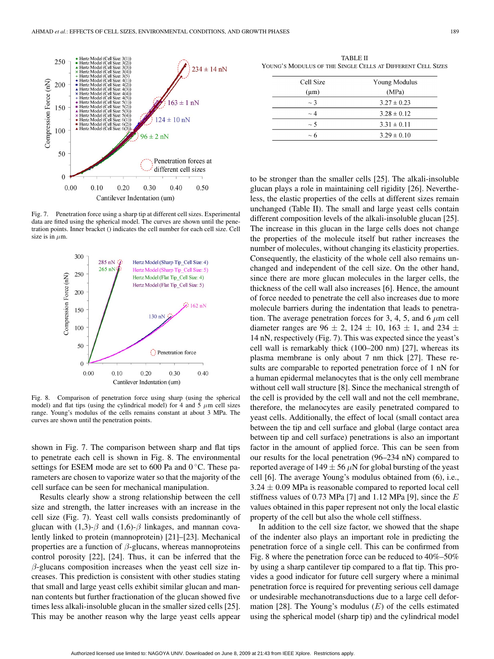

Fig. 7. Penetration force using a sharp tip at different cell sizes. Experimental data are fitted using the spherical model. The curves are shown until the penetration points. Inner bracket () indicates the cell number for each cell size. Cell size is in  $\mu$ m.



Fig. 8. Comparison of penetration force using sharp (using the spherical model) and flat tips (using the cylindrical model) for 4 and 5  $\mu$ m cell sizes range. Young's modulus of the cells remains constant at about 3 MPa. The curves are shown until the penetration points.

shown in Fig. 7. The comparison between sharp and flat tips to penetrate each cell is shown in Fig. 8. The environmental settings for ESEM mode are set to 600 Pa and  $0^{\circ}$ C. These parameters are chosen to vaporize water so that the majority of the cell surface can be seen for mechanical manipulation.

Results clearly show a strong relationship between the cell size and strength, the latter increases with an increase in the cell size (Fig. 7). Yeast cell walls consists predominantly of glucan with (1,3)- $\beta$  and (1,6)- $\beta$  linkages, and mannan covalently linked to protein (mannoprotein) [21]–[23]. Mechanical properties are a function of  $\beta$ -glucans, whereas mannoproteins control porosity [22], [24]. Thus, it can be inferred that the  $\beta$ -glucans composition increases when the yeast cell size increases. This prediction is consistent with other studies stating that small and large yeast cells exhibit similar glucan and mannan contents but further fractionation of the glucan showed five times less alkali-insoluble glucan in the smaller sized cells [25]. This may be another reason why the large yeast cells appear

TABLE II YOUNG'S MODULUS OF THE SINGLE CELLS AT DIFFERENT CELL SIZES

| Cell Size | Young Modulus   |
|-----------|-----------------|
| $(\mu m)$ | (MPa)           |
| $\sim$ 3  | $3.27 \pm 0.23$ |
| $\sim 4$  | $3.28 \pm 0.12$ |
| $\sim$ 5  | $3.31 \pm 0.11$ |
| $~1$ 6    | $3.29 \pm 0.10$ |

to be stronger than the smaller cells [25]. The alkali-insoluble glucan plays a role in maintaining cell rigidity [26]. Nevertheless, the elastic properties of the cells at different sizes remain unchanged (Table II). The small and large yeast cells contain different composition levels of the alkali-insoluble glucan [25]. The increase in this glucan in the large cells does not change the properties of the molecule itself but rather increases the number of molecules, without changing its elasticity properties. Consequently, the elasticity of the whole cell also remains unchanged and independent of the cell size. On the other hand, since there are more glucan molecules in the larger cells, the thickness of the cell wall also increases [6]. Hence, the amount of force needed to penetrate the cell also increases due to more molecule barriers during the indentation that leads to penetration. The average penetration forces for 3, 4, 5, and 6  $\mu$ m cell diameter ranges are  $96 \pm 2$ ,  $124 \pm 10$ ,  $163 \pm 1$ , and  $234 \pm 1$ 14 nN, respectively (Fig. 7). This was expected since the yeast's cell wall is remarkably thick (100–200 nm) [27], whereas its plasma membrane is only about 7 nm thick [27]. These results are comparable to reported penetration force of 1 nN for a human epidermal melanocytes that is the only cell membrane without cell wall structure [8]. Since the mechanical strength of the cell is provided by the cell wall and not the cell membrane, therefore, the melanocytes are easily penetrated compared to yeast cells. Additionally, the effect of local (small contact area between the tip and cell surface and global (large contact area between tip and cell surface) penetrations is also an important factor in the amount of applied force. This can be seen from our results for the local penetration (96–234 nN) compared to reported average of 149  $\pm$  56  $\mu$ N for global bursting of the yeast cell [6]. The average Young's modulus obtained from (6), i.e.,  $3.24 \pm 0.09$  MPa is reasonable compared to reported local cell stiffness values of 0.73 MPa [7] and 1.12 MPa [9], since the  $E$ values obtained in this paper represent not only the local elastic property of the cell but also the whole cell stiffness.

In addition to the cell size factor, we showed that the shape of the indenter also plays an important role in predicting the penetration force of a single cell. This can be confirmed from Fig. 8 where the penetration force can be reduced to 40%–50% by using a sharp cantilever tip compared to a flat tip. This provides a good indicator for future cell surgery where a minimal penetration force is required for preventing serious cell damage or undesirable mechanotransductions due to a large cell deformation [28]. The Young's modulus  $(E)$  of the cells estimated using the spherical model (sharp tip) and the cylindrical model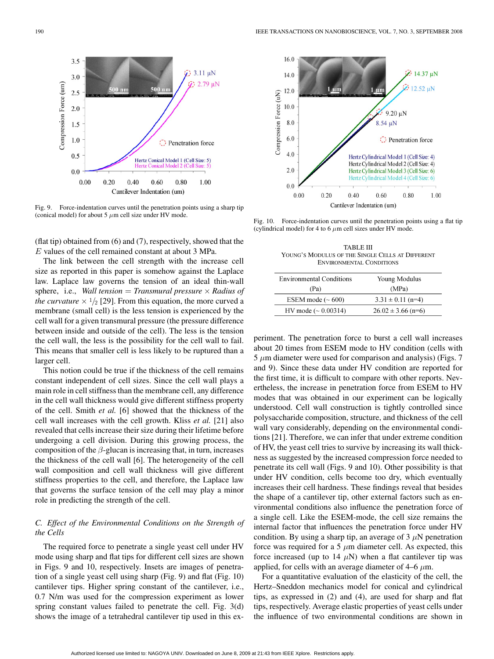

Fig. 9. Force-indentation curves until the penetration points using a sharp tip (conical model) for about 5  $\mu$ m cell size under HV mode.

(flat tip) obtained from (6) and (7), respectively, showed that the E values of the cell remained constant at about 3 MPa.

The link between the cell strength with the increase cell size as reported in this paper is somehow against the Laplace law. Laplace law governs the tension of an ideal thin-wall sphere, i.e., *Wall tension* = *Transmural pressure*  $\times$  *Radius of the curvature*  $\times$  <sup>1</sup>/<sub>2</sub> [29]. From this equation, the more curved a membrane (small cell) is the less tension is experienced by the cell wall for a given transmural pressure (the pressure difference between inside and outside of the cell). The less is the tension the cell wall, the less is the possibility for the cell wall to fail. This means that smaller cell is less likely to be ruptured than a larger cell.

This notion could be true if the thickness of the cell remains constant independent of cell sizes. Since the cell wall plays a main role in cell stiffness than the membrane cell, any difference in the cell wall thickness would give different stiffness property of the cell. Smith *et al.* [6] showed that the thickness of the cell wall increases with the cell growth. Kliss *et al.* [21] also revealed that cells increase their size during their lifetime before undergoing a cell division. During this growing process, the composition of the  $\beta$ -glucan is increasing that, in turn, increases the thickness of the cell wall [6]. The heterogeneity of the cell wall composition and cell wall thickness will give different stiffness properties to the cell, and therefore, the Laplace law that governs the surface tension of the cell may play a minor role in predicting the strength of the cell.

# *C. Effect of the Environmental Conditions on the Strength of the Cells*

The required force to penetrate a single yeast cell under HV mode using sharp and flat tips for different cell sizes are shown in Figs. 9 and 10, respectively. Insets are images of penetration of a single yeast cell using sharp (Fig. 9) and flat (Fig. 10) cantilever tips. Higher spring constant of the cantilever, i.e., 0.7 N/m was used for the compression experiment as lower spring constant values failed to penetrate the cell. Fig. 3(d) shows the image of a tetrahedral cantilever tip used in this ex-



Fig. 10. Force-indentation curves until the penetration points using a flat tip (cylindrical model) for 4 to 6  $\mu$ m cell sizes under HV mode.

TABLE III YOUNG'S MODULUS OF THE SINGLE CELLS AT DIFFERENT ENVIRONMENTAL CONDITIONS

| <b>Environmental Conditions</b> | Young Modulus          |
|---------------------------------|------------------------|
| (Pa)                            | (MPa)                  |
| ESEM mode $(\sim 600)$          | $3.31 \pm 0.11$ (n=4)  |
| HV mode $(~ 0.00314)$           | $26.02 \pm 3.66$ (n=6) |

periment. The penetration force to burst a cell wall increases about 20 times from ESEM mode to HV condition (cells with  $5 \mu$ m diameter were used for comparison and analysis) (Figs. 7 and 9). Since these data under HV condition are reported for the first time, it is difficult to compare with other reports. Nevertheless, the increase in penetration force from ESEM to HV modes that was obtained in our experiment can be logically understood. Cell wall construction is tightly controlled since polysaccharide composition, structure, and thickness of the cell wall vary considerably, depending on the environmental conditions [21]. Therefore, we can infer that under extreme condition of HV, the yeast cell tries to survive by increasing its wall thickness as suggested by the increased compression force needed to penetrate its cell wall (Figs. 9 and 10). Other possibility is that under HV condition, cells become too dry, which eventually increases their cell hardness. These findings reveal that besides the shape of a cantilever tip, other external factors such as environmental conditions also influence the penetration force of a single cell. Like the ESEM-mode, the cell size remains the internal factor that influences the penetration force under HV condition. By using a sharp tip, an average of  $3 \mu$ N penetration force was required for a 5  $\mu$ m diameter cell. As expected, this force increased (up to 14  $\mu$ N) when a flat cantilever tip was applied, for cells with an average diameter of 4–6  $\mu$ m.

For a quantitative evaluation of the elasticity of the cell, the Hertz–Sneddon mechanics model for conical and cylindrical tips, as expressed in (2) and (4), are used for sharp and flat tips, respectively. Average elastic properties of yeast cells under the influence of two environmental conditions are shown in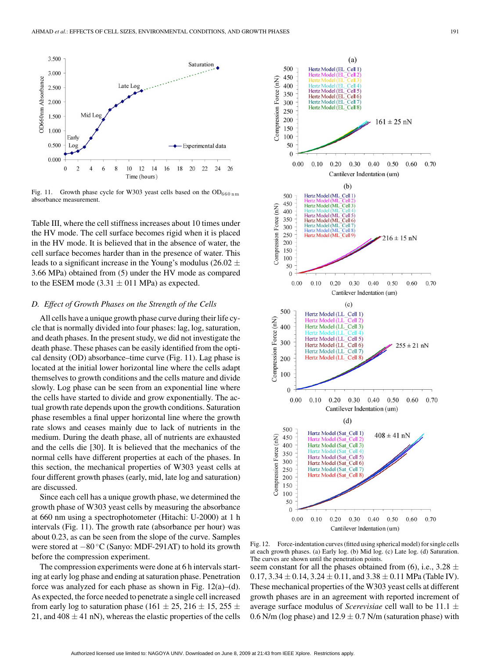

Fig. 11. Growth phase cycle for W303 yeast cells based on the  $OD_{660 \text{ nm}}$ absorbance measurement.

Table III, where the cell stiffness increases about 10 times under the HV mode. The cell surface becomes rigid when it is placed in the HV mode. It is believed that in the absence of water, the cell surface becomes harder than in the presence of water. This leads to a significant increase in the Young's modulus (26.02  $\pm$ 3.66 MPa) obtained from (5) under the HV mode as compared to the ESEM mode  $(3.31 \pm 011 \text{ MPa})$  as expected.

#### *D. Effect of Growth Phases on the Strength of the Cells*

All cells have a unique growth phase curve during their life cycle that is normally divided into four phases: lag, log, saturation, and death phases. In the present study, we did not investigate the death phase. These phases can be easily identified from the optical density (OD) absorbance–time curve (Fig. 11). Lag phase is located at the initial lower horizontal line where the cells adapt themselves to growth conditions and the cells mature and divide slowly. Log phase can be seen from an exponential line where the cells have started to divide and grow exponentially. The actual growth rate depends upon the growth conditions. Saturation phase resembles a final upper horizontal line where the growth rate slows and ceases mainly due to lack of nutrients in the medium. During the death phase, all of nutrients are exhausted and the cells die [30]. It is believed that the mechanics of the normal cells have different properties at each of the phases. In this section, the mechanical properties of W303 yeast cells at four different growth phases (early, mid, late log and saturation) are discussed.

Since each cell has a unique growth phase, we determined the growth phase of W303 yeast cells by measuring the absorbance at 660 nm using a spectrophotometer (Hitachi: U-2000) at 1 h intervals (Fig. 11). The growth rate (absorbance per hour) was about 0.23, as can be seen from the slope of the curve. Samples were stored at  $-80$  °C (Sanyo: MDF-291AT) to hold its growth before the compression experiment.

The compression experiments were done at 6 h intervals starting at early log phase and ending at saturation phase. Penetration force was analyzed for each phase as shown in Fig. 12(a)–(d). As expected, the force needed to penetrate a single cell increased from early log to saturation phase (161  $\pm$  25, 216  $\pm$  15, 255  $\pm$ 21, and  $408 \pm 41$  nN), whereas the elastic properties of the cells



Fig. 12. Force-indentation curves (fitted using spherical model) for single cells at each growth phases. (a) Early log. (b) Mid log. (c) Late log. (d) Saturation.

The curves are shown until the penetration points. seem constant for all the phases obtained from (6), i.e.,  $3.28 \pm$  $0.17, 3.34 \pm 0.14, 3.24 \pm 0.11,$  and  $3.38 \pm 0.11$  MPa (Table IV). These mechanical properties of the W303 yeast cells at different growth phases are in an agreement with reported increment of average surface modulus of *Scerevisiae* cell wall to be 11.1 ± 0.6 N/m (log phase) and 12.9  $\pm$  0.7 N/m (saturation phase) with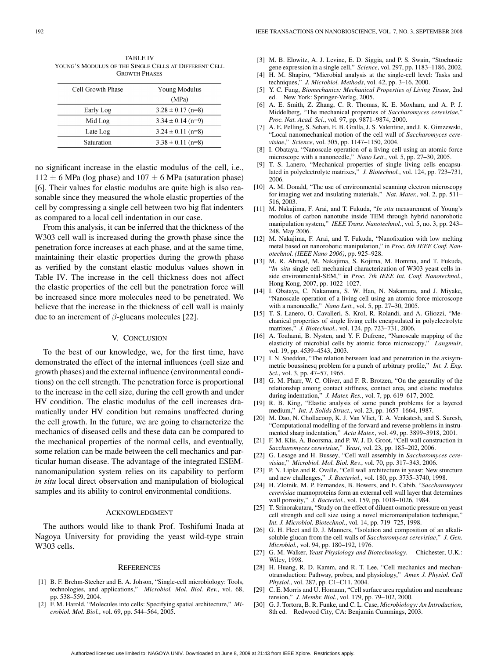TABLE IV YOUNG'S MODULUS OF THE SINGLE CELLS AT DIFFERENT CELL GROWTH PHASES

| Cell Growth Phase | Young Modulus         |
|-------------------|-----------------------|
|                   | (MPa)                 |
| Early Log         | $3.28 \pm 0.17$ (n=8) |
| Mid Log           | $3.34 \pm 0.14$ (n=9) |
| Late Log          | $3.24 \pm 0.11$ (n=8) |
| Saturation        | $3.38 \pm 0.11$ (n=8) |
|                   |                       |

no significant increase in the elastic modulus of the cell, i.e.,  $112 \pm 6$  MPa (log phase) and  $107 \pm 6$  MPa (saturation phase) [6]. Their values for elastic modulus are quite high is also reasonable since they measured the whole elastic properties of the cell by compressing a single cell between two big flat indenters as compared to a local cell indentation in our case.

From this analysis, it can be inferred that the thickness of the W303 cell wall is increased during the growth phase since the penetration force increases at each phase, and at the same time, maintaining their elastic properties during the growth phase as verified by the constant elastic modulus values shown in Table IV. The increase in the cell thickness does not affect the elastic properties of the cell but the penetration force will be increased since more molecules need to be penetrated. We believe that the increase in the thickness of cell wall is mainly due to an increment of  $\beta$ -glucans molecules [22].

#### V. CONCLUSION

To the best of our knowledge, we, for the first time, have demonstrated the effect of the internal influences (cell size and growth phases) and the external influence (environmental conditions) on the cell strength. The penetration force is proportional to the increase in the cell size, during the cell growth and under HV condition. The elastic modulus of the cell increases dramatically under HV condition but remains unaffected during the cell growth. In the future, we are going to characterize the mechanics of diseased cells and these data can be compared to the mechanical properties of the normal cells, and eventually, some relation can be made between the cell mechanics and particular human disease. The advantage of the integrated ESEMnanomanipulation system relies on its capability to perform *in situ* local direct observation and manipulation of biological samples and its ability to control environmental conditions.

### ACKNOWLEDGMENT

The authors would like to thank Prof. Toshifumi Inada at Nagoya University for providing the yeast wild-type strain W303 cells.

#### **REFERENCES**

- [1] B. F. Brehm-Stecher and E. A. Johson, "Single-cell microbiology: Tools, technologies, and applications," *Microbiol. Mol. Biol. Rev.*, vol. 68, pp. 538–559, 2004.
- [2] F. M. Harold, "Molecules into cells: Specifying spatial architecture," *Microbiol. Mol. Biol.*, vol. 69, pp. 544–564, 2005.
- [3] M. B. Elowitz, A. J. Levine, E. D. Siggia, and P. S. Swain, "Stochastic gene expression in a single cell," *Science*, vol. 297, pp. 1183–1186, 2002.
- [4] H. M. Shapiro, "Microbial analysis at the single-cell level: Tasks and techniques," *J. Microbiol. Methods*, vol. 42, pp. 3–16, 2000.
- [5] Y. C. Fung, *Biomechanics: Mechanical Properties of Living Tissue*, 2nd ed. New York: Springer-Verlag, 2005.
- [6] A. E. Smith, Z. Zhang, C. R. Thomas, K. E. Moxham, and A. P. J. Middelberg, "The mechanical properties of *Saccharomyces cerevisiae*," *Proc. Nat. Acad. Sci.*, vol. 97, pp. 9871–9874, 2000.
- [7] A. E. Pelling, S. Sehati, E. B. Gralla, J. S. Valentine, and J. K. Gimzewski, "Local nanomechanical motion of the cell wall of *Saccharomyces cerevisiae*," *Science*, vol. 305, pp. 1147–1150, 2004.
- [8] I. Obataya, "Nanoscale operation of a living cell using an atomic force microscope with a nanoneedle," *Nano Lett.*, vol. 5, pp. 27–30, 2005.
- [9] T. S. Lanero, "Mechanical properties of single living cells encapsulated in polyelectrolyte matrixes," *J. Biotechnol.*, vol. 124, pp. 723–731, 2006.
- [10] A. M. Donald, "The use of environmental scanning electron microscopy for imaging wet and insulating materials," *Nat. Mater.*, vol. 2, pp. 511– 516, 2003.
- [11] M. Nakajima, F. Arai, and T. Fukuda, "*In situ* measurement of Young's modulus of carbon nanotube inside TEM through hybrid nanorobotic manipulation system," *IEEE Trans. Nanotechnol.*, vol. 5, no. 3, pp. 243– 248, May 2006.
- [12] M. Nakajima, F. Arai, and T. Fukuda, "Nanofixation with low melting metal based on nanorobotic manipulation," in *Proc. 6th IEEE Conf. Nanotechnol. (IEEE Nano 2006)*, pp. 925–928.
- [13] M. R. Ahmad, M. Nakajima, S. Kojima, M. Homma, and T. Fukuda, "*In situ* single cell mechanical characterization of W303 yeast cells inside environmental-SEM," in *Proc. 7th IEEE Int. Conf. Nanotechnol.*, Hong Kong, 2007, pp. 1022–1027.
- [14] I. Obataya, C. Nakamura, S. W. Han, N. Nakamura, and J. Miyake, "Nanoscale operation of a living cell using an atomic force microscope with a nanoneedle," *Nano Lett.*, vol. 5, pp. 27–30, 2005.
- [15] T. S. Lanero, O. Cavalleri, S. Krol, R. Rolandi, and A. Gliozzi, "Mechanical properties of single living cells encapsulated in polyelectrolyte matrixes," *J. Biotechnol.*, vol. 124, pp. 723–731, 2006.
- [16] A. Touhami, B. Nysten, and Y. F. Dufrene, "Nanoscale mapping of the elasticity of microbial cells by atomic force microscopy," *Langmuir*, vol. 19, pp. 4539–4543, 2003.
- [17] I. N. Sneddon, "The relation between load and penetration in the axisymmetric boussinesq problem for a punch of arbitrary profile," *Int. J. Eng. Sci.*, vol. 3, pp. 47–57, 1965.
- [18] G. M. Pharr, W. C. Oliver, and F. R. Brotzen, "On the generality of the relationship among contact stiffness, contact area, and elastic modulus during indentation," *J. Mater. Res.*, vol. 7, pp. 619–617, 2002.
- [19] R. B. King, "Elastic analysis of some punch problems for a layered medium," *Int. J. Solids Struct.*, vol. 23, pp. 1657–1664, 1987.
- [20] M. Dao, N. Chollacoop, K. J. Van Vliet, T. A. Venkatesh, and S. Suresh, "Computational modelling of the forward and reverse problems in instrumented sharp indentation," *Acta Mater.*, vol. 49, pp. 3899–3918, 2001.
- [21] F. M. Klis, A. Boorsma, and P. W. J. D. Groot, "Cell wall construction in *Saccharomyces cerevisiae*," *Yeast*, vol. 23, pp. 185–202, 2006.
- [22] G. Lesage and H. Bussey, "Cell wall assembly in *Saccharomyces cerevisiae*," *Microbiol. Mol. Biol. Rev.*, vol. 70, pp. 317–343, 2006.
- [23] P. N. Lipke and R. Ovalle, "Cell wall architecture in yeast: New sturcture and new challenges," *J. Bacteriol.*, vol. 180, pp. 3735–3740, 1998.
- [24] H. Zlotnik, M. P. Fernandes, B. Bowers, and E. Cabib, "*Saccharomyces cerevisiae* mannoproteins form an external cell wall layer that determines wall porosity," *J. Bacteriol.*, vol. 159, pp. 1018–1026, 1984.
- [25] T. Srinorakutara, "Study on the effect of diluent osmotic pressure on yeast cell strength and cell size using a novel micromanipulation technique," *Int. J. Microbiol. Biotechnol.*, vol. 14, pp. 719–725, 1998.
- [26] G. H. Fleet and D. J. Manners, "Isolation and composition of an alkalisoluble glucan from the cell walls of *Saccharomyces cerevisiae*," *J. Gen. Microbiol.*, vol. 94, pp. 180–192, 1976.
- [27] G. M. Walker, *Yeast Physiology and Biotechnology*. Chichester, U.K.: Wiley, 1998.
- [28] H. Huang, R. D. Kamm, and R. T. Lee, "Cell mechanics and mechanotransduction: Pathway, probes, and physiology," *Amer. J. Physiol. Cell Physiol.*, vol. 287, pp. C1–C11, 2004.
- [29] C. E. Morris and U. Homann, "Cell surface area regulation and membrane tension," *J. Membr. Biol.*, vol. 179, pp. 79–102, 2000.
- [30] G. J. Tortora, B. R. Funke, and C. L. Case, *Microbiology: An Introduction*, 8th ed. Redwood City, CA: Benjamin Cummings, 2003.